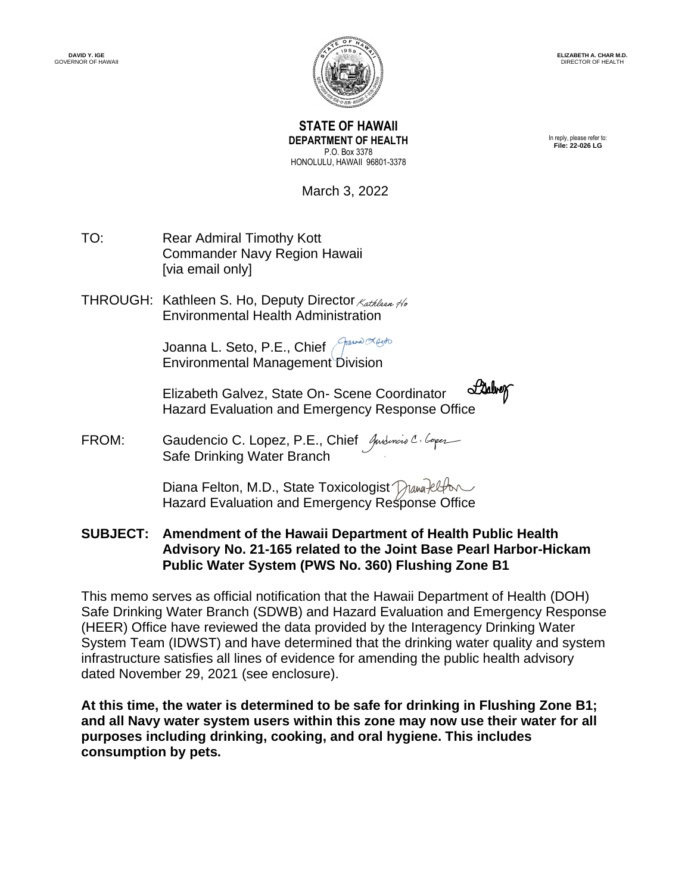

**ELIZABETH A. CHAR M.D.** DIRECTOR OF HEALT

**STATE OF HAWAII DEPARTMENT OF HEALTH** P.O. Box 3378 HONOLULU, HAWAII 96801-3378

In reply, please refer to: **File: 22-026 LG**

March 3, 2022

- TO: Rear Admiral Timothy Kott Commander Navy Region Hawaii [via email only]
- THROUGH: Kathleen S. Ho, Deputy Director Kathleen No Environmental Health Administr[ation](https://stateofhawaii.na1.adobesign.com/verifier?tx=CBJCHBCAABAAPRLJ1RakuZeA9Iu6xeMGO6mixS1v0Qfz)

Joanna L. Seto, P.E., Chief Annual Herto Environmental Managemen[t Division](https://stateofhawaii.na1.adobesign.com/verifier?tx=CBJCHBCAABAAPRLJ1RakuZeA9Iu6xeMGO6mixS1v0Qfz)

Labrer Elizabeth Galvez, State On- Scene Coordinator Hazard Evaluation and Emergency Response [Office](https://stateofhawaii.na1.adobesign.com/verifier?tx=CBJCHBCAABAAPRLJ1RakuZeA9Iu6xeMGO6mixS1v0Qfz)

FROM: Gaudencio C. Lopez, P.E., Chief Andencio C. Coper Safe Drinking Water Branch

> Diana Felton, M.D., State Toxicologist Diana Plan Hazard Evaluation and Emergency R[esponse Office](https://stateofhawaii.na1.adobesign.com/verifier?tx=CBJCHBCAABAAPRLJ1RakuZeA9Iu6xeMGO6mixS1v0Qfz)

**SUBJECT: Amendment of the Hawaii Department of Health Public Health Advisory No. 21-165 related to the Joint Base Pearl Harbor-Hickam Public Water System (PWS No. 360) Flushing Zone B1**

This memo serves as official notification that the Hawaii Department of Health (DOH) Safe Drinking Water Branch (SDWB) and Hazard Evaluation and Emergency Response (HEER) Office have reviewed the data provided by the Interagency Drinking Water System Team (IDWST) and have determined that the drinking water quality and system infrastructure satisfies all lines of evidence for amending the public health advisory dated November 29, 2021 (see enclosure).

**At this time, the water is determined to be safe for drinking in Flushing Zone B1; and all Navy water system users within this zone may now use their water for all purposes including drinking, cooking, and oral hygiene. This includes consumption by pets.**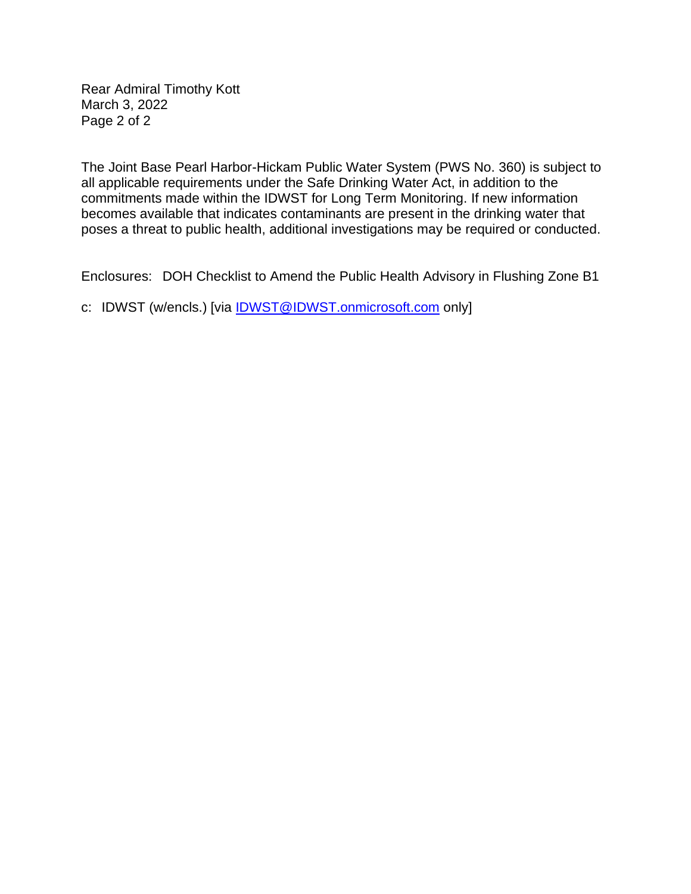Rear Admiral Timothy Kott March 3, 2022 Page 2 of 2

The Joint Base Pearl Harbor-Hickam Public Water System (PWS No. 360) is subject to all applicable requirements under the Safe Drinking Water Act, in addition to the commitments made within the IDWST for Long Term Monitoring. If new information becomes available that indicates contaminants are present in the drinking water that poses a threat to public health, additional investigations may be required or conducted.

Enclosures: DOH Checklist to Amend the Public Health Advisory in Flushing Zone B1

c: IDWST (w/encls.) [via **IDWST@IDWST.onmicrosoft.com** only]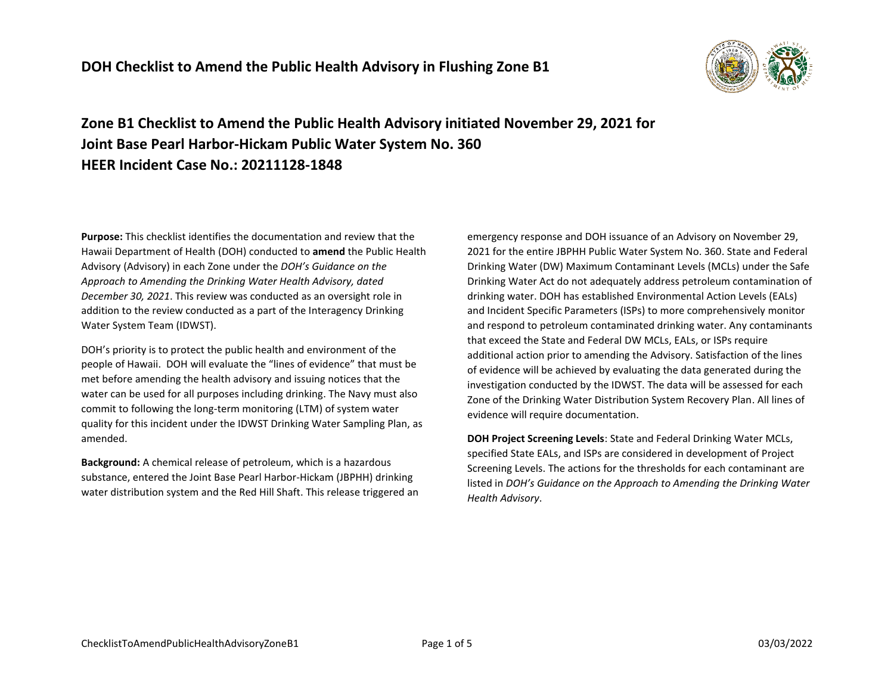

**Zone B1 Checklist to Amend the Public Health Advisory initiated November 29, 2021 for Joint Base Pearl Harbor-Hickam Public Water System No. 360 HEER Incident Case No.: 20211128-1848**

**Purpose:** This checklist identifies the documentation and review that the Hawaii Department of Health (DOH) conducted to **amend** the Public Health Advisory (Advisory) in each Zone under the *DOH's Guidance on the Approach to Amending the Drinking Water Health Advisory, dated December 30, 2021*. This review was conducted as an oversight role in addition to the review conducted as a part of the Interagency Drinking Water System Team (IDWST).

DOH's priority is to protect the public health and environment of the people of Hawaii. DOH will evaluate the "lines of evidence" that must be met before amending the health advisory and issuing notices that the water can be used for all purposes including drinking. The Navy must also commit to following the long-term monitoring (LTM) of system water quality for this incident under the IDWST Drinking Water Sampling Plan, as amended.

**Background:** A chemical release of petroleum, which is a hazardous substance, entered the Joint Base Pearl Harbor-Hickam (JBPHH) drinking water distribution system and the Red Hill Shaft. This release triggered an

emergency response and DOH issuance of an Advisory on November 29, 2021 for the entire JBPHH Public Water System No. 360. State and Federal Drinking Water (DW) Maximum Contaminant Levels (MCLs) under the Safe Drinking Water Act do not adequately address petroleum contamination of drinking water. DOH has established Environmental Action Levels (EALs) and Incident Specific Parameters (ISPs) to more comprehensively monitor and respond to petroleum contaminated drinking water. Any contaminants that exceed the State and Federal DW MCLs, EALs, or ISPs require additional action prior to amending the Advisory. Satisfaction of the lines of evidence will be achieved by evaluating the data generated during the investigation conducted by the IDWST. The data will be assessed for each Zone of the Drinking Water Distribution System Recovery Plan. All lines of evidence will require documentation.

**DOH Project Screening Levels**: State and Federal Drinking Water MCLs, specified State EALs, and ISPs are considered in development of Project Screening Levels. The actions for the thresholds for each contaminant are listed in *DOH's Guidance on the Approach to Amending the Drinking Water Health Advisory*.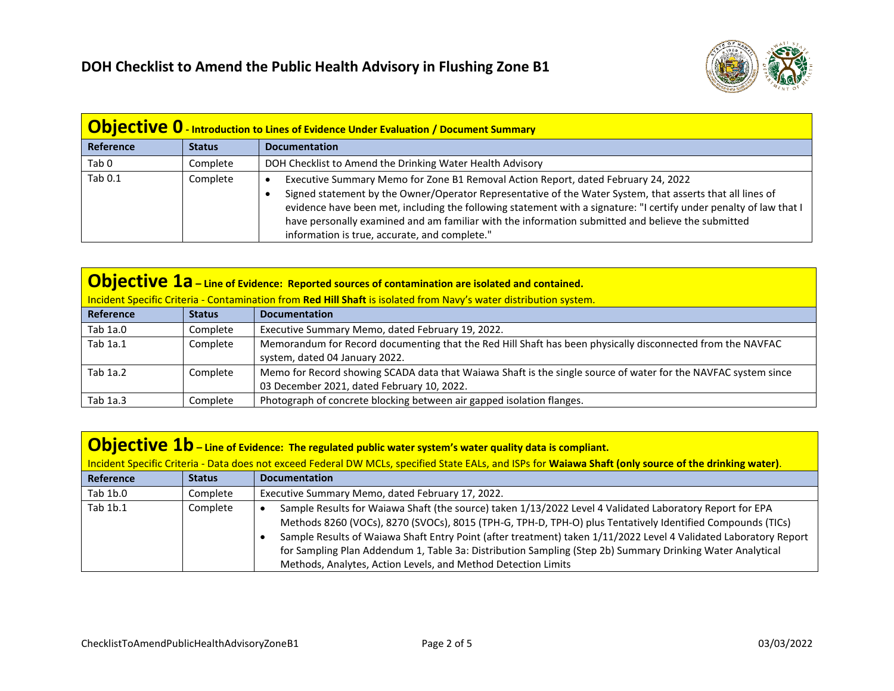

| <b>Objective 0</b> - Introduction to Lines of Evidence Under Evaluation / Document Summary |               |                                                                                                                                                                                                                                                                                                                                                                                                                                                                            |
|--------------------------------------------------------------------------------------------|---------------|----------------------------------------------------------------------------------------------------------------------------------------------------------------------------------------------------------------------------------------------------------------------------------------------------------------------------------------------------------------------------------------------------------------------------------------------------------------------------|
| Reference                                                                                  | <b>Status</b> | <b>Documentation</b>                                                                                                                                                                                                                                                                                                                                                                                                                                                       |
| Tab <sub>0</sub>                                                                           | Complete      | DOH Checklist to Amend the Drinking Water Health Advisory                                                                                                                                                                                                                                                                                                                                                                                                                  |
| Tab 0.1                                                                                    | Complete      | Executive Summary Memo for Zone B1 Removal Action Report, dated February 24, 2022<br>Signed statement by the Owner/Operator Representative of the Water System, that asserts that all lines of<br>evidence have been met, including the following statement with a signature: "I certify under penalty of law that I<br>have personally examined and am familiar with the information submitted and believe the submitted<br>information is true, accurate, and complete." |

| $\vert$ Objective 1a – Line of Evidence: Reported sources of contamination are isolated and contained.            |               |                                                                                                                                                              |
|-------------------------------------------------------------------------------------------------------------------|---------------|--------------------------------------------------------------------------------------------------------------------------------------------------------------|
| Incident Specific Criteria - Contamination from Red Hill Shaft is isolated from Navy's water distribution system. |               |                                                                                                                                                              |
| Reference                                                                                                         | <b>Status</b> | <b>Documentation</b>                                                                                                                                         |
| Tab 1a.0                                                                                                          | Complete      | Executive Summary Memo, dated February 19, 2022.                                                                                                             |
| Tab 1a.1                                                                                                          | Complete      | Memorandum for Record documenting that the Red Hill Shaft has been physically disconnected from the NAVFAC<br>system, dated 04 January 2022.                 |
| Tab 1a.2                                                                                                          | Complete      | Memo for Record showing SCADA data that Waiawa Shaft is the single source of water for the NAVFAC system since<br>03 December 2021, dated February 10, 2022. |
| Tab 1a.3                                                                                                          | Complete      | Photograph of concrete blocking between air gapped isolation flanges.                                                                                        |

| <b>Objective 1b</b> – Line of Evidence: The regulated public water system's water quality data is compliant.                                            |               |                                                                                                                                                                                                                                                                                                                                                                                                                                                                                                                          |
|---------------------------------------------------------------------------------------------------------------------------------------------------------|---------------|--------------------------------------------------------------------------------------------------------------------------------------------------------------------------------------------------------------------------------------------------------------------------------------------------------------------------------------------------------------------------------------------------------------------------------------------------------------------------------------------------------------------------|
| Incident Specific Criteria - Data does not exceed Federal DW MCLs, specified State EALs, and ISPs for Waiawa Shaft (only source of the drinking water). |               |                                                                                                                                                                                                                                                                                                                                                                                                                                                                                                                          |
| Reference                                                                                                                                               | <b>Status</b> | <b>Documentation</b>                                                                                                                                                                                                                                                                                                                                                                                                                                                                                                     |
| Tab 1b.0                                                                                                                                                | Complete      | Executive Summary Memo, dated February 17, 2022.                                                                                                                                                                                                                                                                                                                                                                                                                                                                         |
| Tab 1b.1                                                                                                                                                | Complete      | Sample Results for Waiawa Shaft (the source) taken 1/13/2022 Level 4 Validated Laboratory Report for EPA<br>Methods 8260 (VOCs), 8270 (SVOCs), 8015 (TPH-G, TPH-D, TPH-O) plus Tentatively Identified Compounds (TICs)<br>Sample Results of Waiawa Shaft Entry Point (after treatment) taken 1/11/2022 Level 4 Validated Laboratory Report<br>for Sampling Plan Addendum 1, Table 3a: Distribution Sampling (Step 2b) Summary Drinking Water Analytical<br>Methods, Analytes, Action Levels, and Method Detection Limits |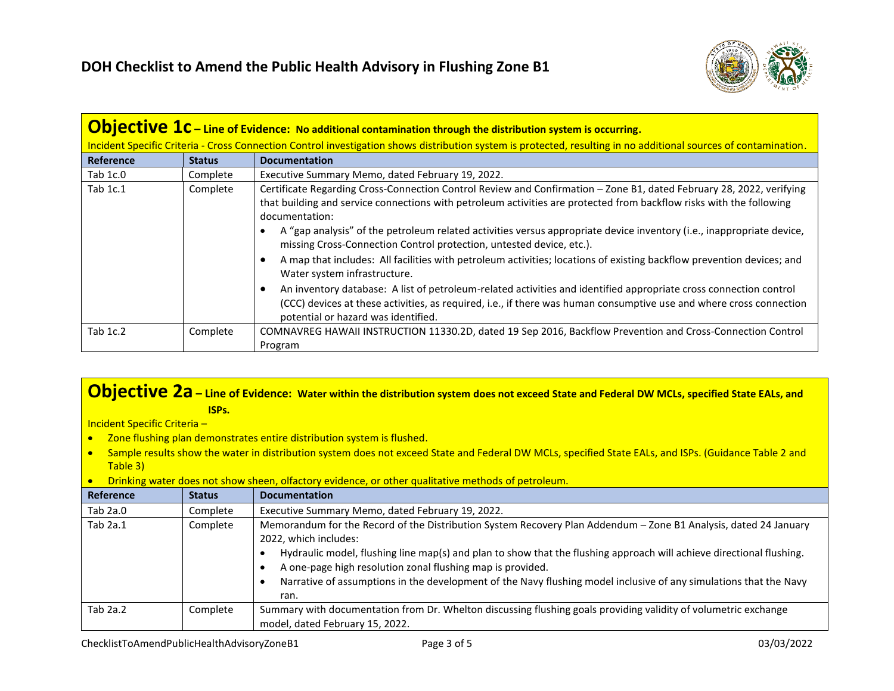

| <b>Objective <math>1c</math></b> – Line of Evidence: No additional contamination through the distribution system is occurring. |                                                                                                                                                                  |                                                                                                                                                                                                                                                                                                                                                                                                                                                                                                                                                                                                                                       |  |
|--------------------------------------------------------------------------------------------------------------------------------|------------------------------------------------------------------------------------------------------------------------------------------------------------------|---------------------------------------------------------------------------------------------------------------------------------------------------------------------------------------------------------------------------------------------------------------------------------------------------------------------------------------------------------------------------------------------------------------------------------------------------------------------------------------------------------------------------------------------------------------------------------------------------------------------------------------|--|
|                                                                                                                                | Incident Specific Criteria - Cross Connection Control investigation shows distribution system is protected, resulting in no additional sources of contamination. |                                                                                                                                                                                                                                                                                                                                                                                                                                                                                                                                                                                                                                       |  |
| <b>Reference</b>                                                                                                               | <b>Status</b>                                                                                                                                                    | <b>Documentation</b>                                                                                                                                                                                                                                                                                                                                                                                                                                                                                                                                                                                                                  |  |
| Tab 1c.0                                                                                                                       | Complete                                                                                                                                                         | Executive Summary Memo, dated February 19, 2022.                                                                                                                                                                                                                                                                                                                                                                                                                                                                                                                                                                                      |  |
| Tab 1c.1                                                                                                                       | Complete                                                                                                                                                         | Certificate Regarding Cross-Connection Control Review and Confirmation - Zone B1, dated February 28, 2022, verifying<br>that building and service connections with petroleum activities are protected from backflow risks with the following<br>documentation:<br>A "gap analysis" of the petroleum related activities versus appropriate device inventory (i.e., inappropriate device,<br>missing Cross-Connection Control protection, untested device, etc.).<br>A map that includes: All facilities with petroleum activities; locations of existing backflow prevention devices; and<br>$\bullet$<br>Water system infrastructure. |  |
|                                                                                                                                |                                                                                                                                                                  | An inventory database: A list of petroleum-related activities and identified appropriate cross connection control<br>$\bullet$<br>(CCC) devices at these activities, as required, i.e., if there was human consumptive use and where cross connection<br>potential or hazard was identified.                                                                                                                                                                                                                                                                                                                                          |  |
| Tab 1c.2                                                                                                                       | Complete                                                                                                                                                         | COMNAVREG HAWAII INSTRUCTION 11330.2D, dated 19 Sep 2016, Backflow Prevention and Cross-Connection Control<br>Program                                                                                                                                                                                                                                                                                                                                                                                                                                                                                                                 |  |

## **Objective 2a – Line of Evidence: Water within the distribution system does not exceed State and Federal DW MCLs, specified State EALs, and ISPs.**

Incident Specific Criteria –

- Zone flushing plan demonstrates entire distribution system is flushed.
- Sample results show the water in distribution system does not exceed State and Federal DW MCLs, specified State EALs, and ISPs. (Guidance Table 2 and Table 3)
- Drinking water does not show sheen, olfactory evidence, or other qualitative methods of petroleum.

| Reference  | <b>Status</b> | <b>Documentation</b>                                                                                                                                                                                                                                                                                                                                                                                                                                         |
|------------|---------------|--------------------------------------------------------------------------------------------------------------------------------------------------------------------------------------------------------------------------------------------------------------------------------------------------------------------------------------------------------------------------------------------------------------------------------------------------------------|
| Tab $2a.0$ | Complete      | Executive Summary Memo, dated February 19, 2022.                                                                                                                                                                                                                                                                                                                                                                                                             |
| Tab $2a.1$ | Complete      | Memorandum for the Record of the Distribution System Recovery Plan Addendum - Zone B1 Analysis, dated 24 January<br>2022, which includes:<br>Hydraulic model, flushing line map(s) and plan to show that the flushing approach will achieve directional flushing.<br>A one-page high resolution zonal flushing map is provided.<br>Narrative of assumptions in the development of the Navy flushing model inclusive of any simulations that the Navy<br>ran. |
| Tab $2a.2$ | Complete      | Summary with documentation from Dr. Whelton discussing flushing goals providing validity of volumetric exchange<br>model, dated February 15, 2022.                                                                                                                                                                                                                                                                                                           |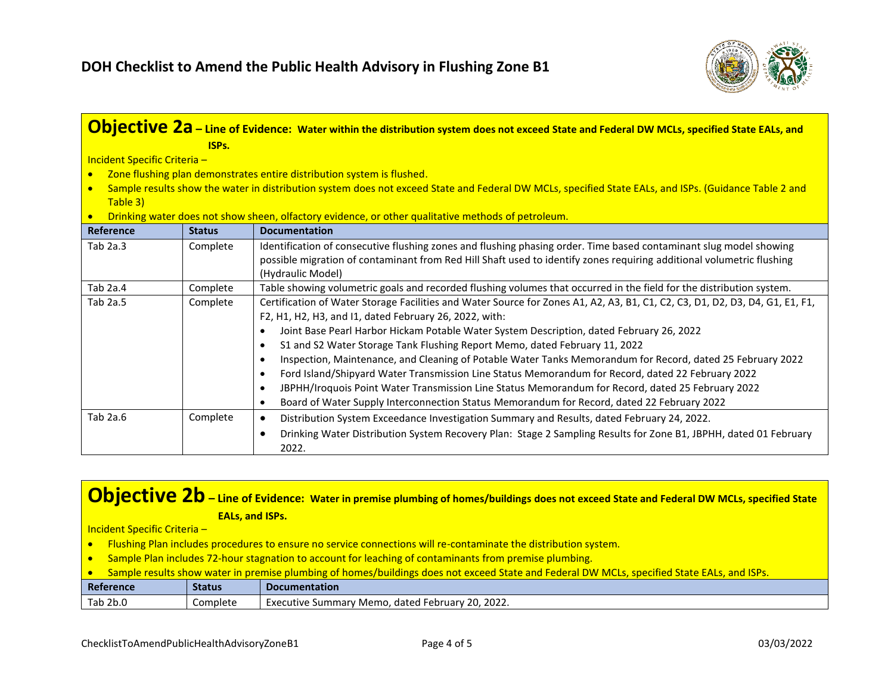

|                              |                                                                                                                                                       | <b>Objective 2a</b> – Line of Evidence: Water within the distribution system does not exceed State and Federal DW MCLs, specified State EALs, and                                      |  |
|------------------------------|-------------------------------------------------------------------------------------------------------------------------------------------------------|----------------------------------------------------------------------------------------------------------------------------------------------------------------------------------------|--|
|                              | ISPs.                                                                                                                                                 |                                                                                                                                                                                        |  |
| Incident Specific Criteria - |                                                                                                                                                       |                                                                                                                                                                                        |  |
| $\bullet$                    |                                                                                                                                                       | Zone flushing plan demonstrates entire distribution system is flushed.                                                                                                                 |  |
|                              | Sample results show the water in distribution system does not exceed State and Federal DW MCLs, specified State EALs, and ISPs. (Guidance Table 2 and |                                                                                                                                                                                        |  |
| Table 3)                     |                                                                                                                                                       |                                                                                                                                                                                        |  |
| $\bullet$                    |                                                                                                                                                       | Drinking water does not show sheen, olfactory evidence, or other qualitative methods of petroleum.                                                                                     |  |
| <b>Reference</b>             | <b>Status</b>                                                                                                                                         | <b>Documentation</b>                                                                                                                                                                   |  |
| Tab $2a.3$                   | Complete                                                                                                                                              | Identification of consecutive flushing zones and flushing phasing order. Time based contaminant slug model showing                                                                     |  |
|                              |                                                                                                                                                       | possible migration of contaminant from Red Hill Shaft used to identify zones requiring additional volumetric flushing                                                                  |  |
|                              |                                                                                                                                                       | (Hydraulic Model)                                                                                                                                                                      |  |
| Tab 2a.4                     | Complete                                                                                                                                              | Table showing volumetric goals and recorded flushing volumes that occurred in the field for the distribution system.                                                                   |  |
| Tab 2a.5                     | Complete                                                                                                                                              | Certification of Water Storage Facilities and Water Source for Zones A1, A2, A3, B1, C1, C2, C3, D1, D2, D3, D4, G1, E1, F1,<br>F2, H1, H2, H3, and I1, dated February 26, 2022, with: |  |
|                              |                                                                                                                                                       | Joint Base Pearl Harbor Hickam Potable Water System Description, dated February 26, 2022                                                                                               |  |
|                              |                                                                                                                                                       | S1 and S2 Water Storage Tank Flushing Report Memo, dated February 11, 2022                                                                                                             |  |
|                              |                                                                                                                                                       | Inspection, Maintenance, and Cleaning of Potable Water Tanks Memorandum for Record, dated 25 February 2022                                                                             |  |
|                              |                                                                                                                                                       | Ford Island/Shipyard Water Transmission Line Status Memorandum for Record, dated 22 February 2022<br>$\bullet$                                                                         |  |
|                              |                                                                                                                                                       | JBPHH/Iroquois Point Water Transmission Line Status Memorandum for Record, dated 25 February 2022                                                                                      |  |
|                              |                                                                                                                                                       | Board of Water Supply Interconnection Status Memorandum for Record, dated 22 February 2022<br>$\bullet$                                                                                |  |
| Tab 2a.6                     | Complete                                                                                                                                              | Distribution System Exceedance Investigation Summary and Results, dated February 24, 2022.<br>$\bullet$                                                                                |  |
|                              |                                                                                                                                                       | Drinking Water Distribution System Recovery Plan: Stage 2 Sampling Results for Zone B1, JBPHH, dated 01 February<br>٠<br>2022.                                                         |  |

## **Objective 2b** – Line of Evidence: Water in premise plumbing of homes/buildings does not exceed State and Federal DW MCLs, specified State **EALs, and ISPs.**

Incident Specific Criteria –

- Flushing Plan includes procedures to ensure no service connections will re-contaminate the distribution system.
- Sample Plan includes 72-hour stagnation to account for leaching of contaminants from premise plumbing.
- Sample results show water in premise plumbing of homes/buildings does not exceed State and Federal DW MCLs, specified State EALs, and ISPs.

| Reference | <b>Status</b> | <b>Documentation</b>                                                                 |
|-----------|---------------|--------------------------------------------------------------------------------------|
| Tab 2b.0  | Complete      | 2022.<br>$\sim$<br>dated l<br>' Memo.<br>. Februarv<br>Executive<br>. Summarv<br>ZU. |
|           |               |                                                                                      |